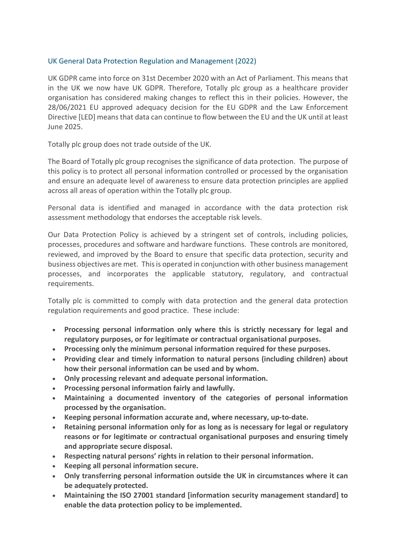# UK General Data Protection Regulation and Management (2022)

UK GDPR came into force on 31st December 2020 with an Act of Parliament. This means that in the UK we now have UK GDPR. Therefore, Totally plc group as a healthcare provider organisation has considered making changes to reflect this in their policies. However, the 28/06/2021 EU approved adequacy decision for the EU GDPR and the Law Enforcement Directive [LED] means that data can continue to flow between the EU and the UK until at least June 2025.

Totally plc group does not trade outside of the UK.

The Board of Totally plc group recognises the significance of data protection. The purpose of this policy is to protect all personal information controlled or processed by the organisation and ensure an adequate level of awareness to ensure data protection principles are applied across all areas of operation within the Totally plc group.

Personal data is identified and managed in accordance with the data protection risk assessment methodology that endorses the acceptable risk levels.

Our Data Protection Policy is achieved by a stringent set of controls, including policies, processes, procedures and software and hardware functions. These controls are monitored, reviewed, and improved by the Board to ensure that specific data protection, security and business objectives are met. This is operated in conjunction with other business management processes, and incorporates the applicable statutory, regulatory, and contractual requirements.

Totally plc is committed to comply with data protection and the general data protection regulation requirements and good practice. These include:

- **Processing personal information only where this is strictly necessary for legal and regulatory purposes, or for legitimate or contractual organisational purposes.**
- **Processing only the minimum personal information required for these purposes.**
- **Providing clear and timely information to natural persons (including children) about how their personal information can be used and by whom.**
- **Only processing relevant and adequate personal information.**
- **Processing personal information fairly and lawfully.**
- **Maintaining a documented inventory of the categories of personal information processed by the organisation.**
- **Keeping personal information accurate and, where necessary, up-to-date.**
- **Retaining personal information only for as long as is necessary for legal or regulatory reasons or for legitimate or contractual organisational purposes and ensuring timely and appropriate secure disposal.**
- **Respecting natural persons' rights in relation to their personal information.**
- **Keeping all personal information secure.**
- **Only transferring personal information outside the UK in circumstances where it can be adequately protected.**
- **Maintaining the ISO 27001 standard [information security management standard] to enable the data protection policy to be implemented.**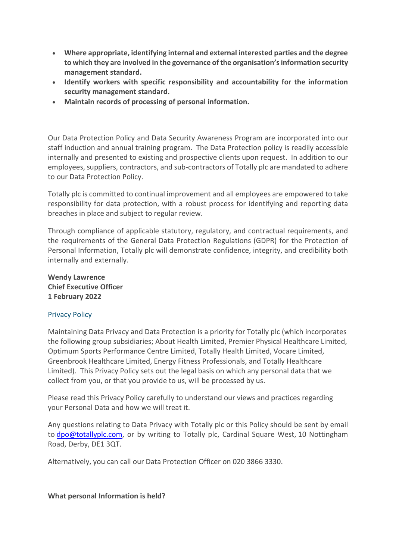- **Where appropriate, identifying internal and external interested parties and the degree to which they are involved in the governance of the organisation's information security management standard.**
- **Identify workers with specific responsibility and accountability for the information security management standard.**
- **Maintain records of processing of personal information.**

Our Data Protection Policy and Data Security Awareness Program are incorporated into our staff induction and annual training program. The Data Protection policy is readily accessible internally and presented to existing and prospective clients upon request. In addition to our employees, suppliers, contractors, and sub-contractors of Totally plc are mandated to adhere to our Data Protection Policy.

Totally plc is committed to continual improvement and all employees are empowered to take responsibility for data protection, with a robust process for identifying and reporting data breaches in place and subject to regular review.

Through compliance of applicable statutory, regulatory, and contractual requirements, and the requirements of the General Data Protection Regulations (GDPR) for the Protection of Personal Information, Totally plc will demonstrate confidence, integrity, and credibility both internally and externally.

**Wendy Lawrence Chief Executive Officer 1 February 2022**

### Privacy Policy

Maintaining Data Privacy and Data Protection is a priority for Totally plc (which incorporates the following group subsidiaries; About Health Limited, Premier Physical Healthcare Limited, Optimum Sports Performance Centre Limited, Totally Health Limited, Vocare Limited, Greenbrook Healthcare Limited, Energy Fitness Professionals, and Totally Healthcare Limited). This Privacy Policy sets out the legal basis on which any personal data that we collect from you, or that you provide to us, will be processed by us.

Please read this Privacy Policy carefully to understand our views and practices regarding your Personal Data and how we will treat it.

Any questions relating to Data Privacy with Totally plc or this Policy should be sent by email to [dpo@totallyplc.com,](mailto:dpo@totallyplc.com) or by writing to Totally plc, Cardinal Square West, 10 Nottingham Road, Derby, DE1 3QT.

Alternatively, you can call our Data Protection Officer on 020 3866 3330.

#### **What personal Information is held?**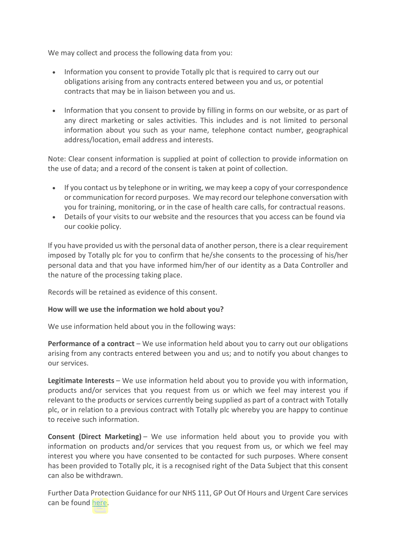We may collect and process the following data from you:

- Information you consent to provide Totally plc that is required to carry out our obligations arising from any contracts entered between you and us, or potential contracts that may be in liaison between you and us.
- Information that you consent to provide by filling in forms on our website, or as part of any direct marketing or sales activities. This includes and is not limited to personal information about you such as your name, telephone contact number, geographical address/location, email address and interests.

Note: Clear consent information is supplied at point of collection to provide information on the use of data; and a record of the consent is taken at point of collection.

- If you contact us by telephone or in writing, we may keep a copy of your correspondence or communication for record purposes. We may record our telephone conversation with you for training, monitoring, or in the case of health care calls, for contractual reasons.
- Details of your visits to our website and the resources that you access can be found via our cookie policy.

If you have provided us with the personal data of another person, there is a clear requirement imposed by Totally plc for you to confirm that he/she consents to the processing of his/her personal data and that you have informed him/her of our identity as a Data Controller and the nature of the processing taking place.

Records will be retained as evidence of this consent.

### **How will we use the information we hold about you?**

We use information held about you in the following ways:

**Performance of a contract** – We use information held about you to carry out our obligations arising from any contracts entered between you and us; and to notify you about changes to our services.

**Legitimate Interests** – We use information held about you to provide you with information, products and/or services that you request from us or which we feel may interest you if relevant to the products or services currently being supplied as part of a contract with Totally plc, or in relation to a previous contract with Totally plc whereby you are happy to continue to receive such information.

**Consent (Direct Marketing)** – We use information held about you to provide you with information on products and/or services that you request from us, or which we feel may interest you where you have consented to be contacted for such purposes. Where consent has been provided to Totally plc, it is a recognised right of the Data Subject that this consent can also be withdrawn.

Further Data Protection Guidance for our NHS 111, GP Out Of Hours and Urgent Care services can be found [here.](https://www.totallyplc.com/about-us/data-protection-privacy-policy/further-data-protection-guidance-for-our-nhs-111-gp-out-of-hours-and-urgent-care-services/)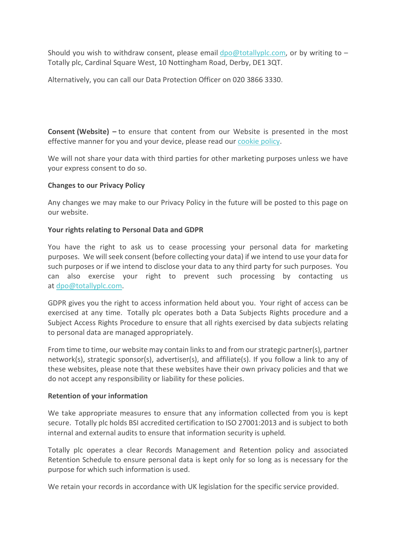Should you wish to withdraw consent, please email [dpo@totallyplc.com,](mailto:dpo@totallyplc.com) or by writing to  $-$ Totally plc, Cardinal Square West, 10 Nottingham Road, Derby, DE1 3QT.

Alternatively, you can call our Data Protection Officer on 020 3866 3330.

**Consent (Website) –** to ensure that content from our Website is presented in the most effective manner for you and your device, please read our [cookie policy.](https://www.totallyplc.com/about-us/data-protection-privacy-policy/#cookie-policy)

We will not share your data with third parties for other marketing purposes unless we have your express consent to do so.

## **Changes to our Privacy Policy**

Any changes we may make to our Privacy Policy in the future will be posted to this page on our website.

## **Your rights relating to Personal Data and GDPR**

You have the right to ask us to cease processing your personal data for marketing purposes. We will seek consent (before collecting your data) if we intend to use your data for such purposes or if we intend to disclose your data to any third party for such purposes. You can also exercise your right to prevent such processing by contacting us at [dpo@totallyplc.com.](mailto:dpo@totallyplc.com)

GDPR gives you the right to access information held about you. Your right of access can be exercised at any time. Totally plc operates both a Data Subjects Rights procedure and a Subject Access Rights Procedure to ensure that all rights exercised by data subjects relating to personal data are managed appropriately.

From time to time, our website may contain links to and from our strategic partner(s), partner network(s), strategic sponsor(s), advertiser(s), and affiliate(s). If you follow a link to any of these websites, please note that these websites have their own privacy policies and that we do not accept any responsibility or liability for these policies.

### **Retention of your information**

We take appropriate measures to ensure that any information collected from you is kept secure. Totally plc holds BSI accredited certification to ISO 27001:2013 and is subject to both internal and external audits to ensure that information security is upheld*.*

Totally plc operates a clear Records Management and Retention policy and associated Retention Schedule to ensure personal data is kept only for so long as is necessary for the purpose for which such information is used.

We retain your records in accordance with UK legislation for the specific service provided.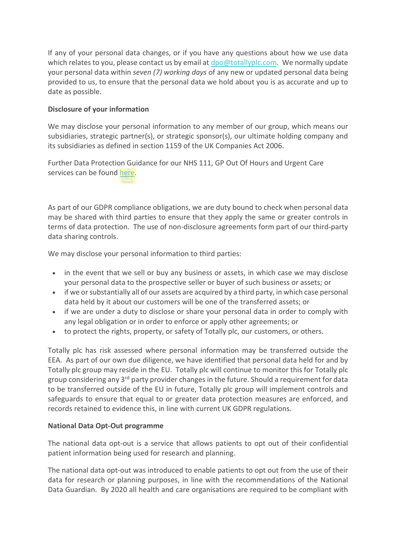If any of your personal data changes, or if you have any questions about how we use data which relates to you, please contact us by email at [dpo@totallyplc.com.](mailto:dpo@totallyplc.com) We normally update your personal data within *seven (7) working days* of any new or updated personal data being provided to us, to ensure that the personal data we hold about you is as accurate and up to date as possible.

# **Disclosure of your information**

We may disclose your personal information to any member of our group, which means our subsidiaries, strategic partner(s), or strategic sponsor(s), our ultimate holding company and its subsidiaries as defined in section 1159 of the UK Companies Act 2006.

Further Data Protection Guidance for our NHS 111, GP Out Of Hours and Urgent Care services can be found [here.](https://www.totallyplc.com/about-us/data-protection-privacy-policy/further-data-protection-guidance-for-our-nhs-111-gp-out-of-hours-and-urgent-care-services/#Disclosure-information)

As part of our GDPR compliance obligations, we are duty bound to check when personal data may be shared with third parties to ensure that they apply the same or greater controls in terms of data protection. The use of non-disclosure agreements form part of our third-party data sharing controls.

We may disclose your personal information to third parties:

- in the event that we sell or buy any business or assets, in which case we may disclose your personal data to the prospective seller or buyer of such business or assets; or
- if we or substantially all of our assets are acquired by a third party, in which case personal data held by it about our customers will be one of the transferred assets; or
- if we are under a duty to disclose or share your personal data in order to comply with any legal obligation or in order to enforce or apply other agreements; or
- to protect the rights, property, or safety of Totally plc, our customers, or others.

Totally plc has risk assessed where personal information may be transferred outside the EEA. As part of our own due diligence, we have identified that personal data held for and by Totally plc group may reside in the EU. Totally plc will continue to monitor this for Totally plc group considering any 3<sup>rd</sup> party provider changes in the future. Should a requirement for data to be transferred outside of the EU in future, Totally plc group will implement controls and safeguards to ensure that equal to or greater data protection measures are enforced, and records retained to evidence this, in line with current UK GDPR regulations.

### **National Data Opt-Out programme**

The national data opt-out is a service that allows patients to opt out of their confidential patient information being used for research and planning.

The national data opt-out was introduced to enable patients to opt out from the use of their data for research or planning purposes, in line with the recommendations of the National Data Guardian. By 2020 all health and care organisations are required to be compliant with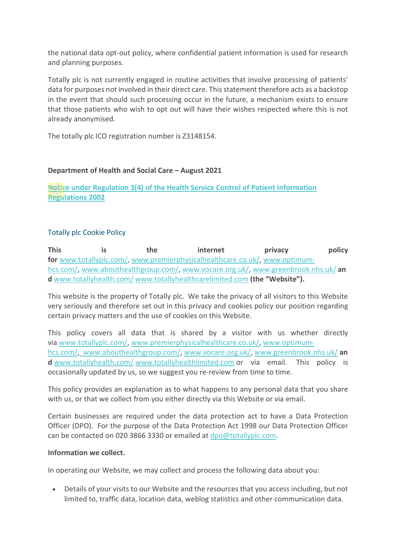the national data opt-out policy, where confidential patient information is used for research and planning purposes.

Totally plc is not currently engaged in routine activities that involve processing of patients' data for purposes not involved in their direct care. This statement therefore acts as a backstop in the event that should such processing occur in the future, a mechanism exists to ensure that those patients who wish to opt out will have their wishes respected where this is not already anonymised.

The totally plc ICO registration number is Z3148154.

## **Department of Health and Social Care – August 2021**

**[Notice under Regulation 3\(4\) of the Health Service Control of Patient Information](https://www.totallyplc.com/wp-content/uploads/2021/09/Covid-19-%E2%80%93-Notice-under-Regulation-34-of-the-Health-Service-Control-of-Patient-Information-Regulations-2002-.pdf)  [Regulations 2002](https://www.totallyplc.com/wp-content/uploads/2021/09/Covid-19-%E2%80%93-Notice-under-Regulation-34-of-the-Health-Service-Control-of-Patient-Information-Regulations-2002-.pdf)**

## Totally plc Cookie Policy

This is the internet privacy policy **for** [www.totallyplc.com/,](https://www.totallyplc.com/) [www.premierphysicalhealthcare.co.uk/,](http://www.premierphysicalhealthcare.co.uk/) [www.optimum](http://www.optimum-hcs.com/)[hcs.com/,](http://www.optimum-hcs.com/) [www.abouthealthgroup.com/,](http://www.abouthealthgroup.com/) [www.vocare.org.uk/,](http://www.vocare.org.uk/) [www.greenbrook.nhs.uk/](http://www.greenbrook.nhs.uk/) **an d** [www.totallyhealth.com/](http://www.totallyhealth.com/) [www.totallyhealthcarelimited.com](http://www.totallyhealthcarelimited.com/) **(the "Website").**

This website is the property of Totally plc. We take the privacy of all visitors to this Website very seriously and therefore set out in this privacy and cookies policy our position regarding certain privacy matters and the use of cookies on this Website.

This policy covers all data that is shared by a visitor with us whether directly via [www.totallyplc.com/,](https://www.totallyplc.com/) [www.premierphysicalhealthcare.co.uk/,](http://www.premierphysicalhealthcare.co.uk/) [www.optimum](http://www.optimum-hcs.com/)[hcs.com/](http://www.optimum-hcs.com/)[,](https://www.totallyplc.com/) [www.abouthealthgroup.com/,](http://www.abouthealthgroup.com/) [www.vocare.org.uk](http://www.vocare.org.uk/)[/,](https://www.totallyplc.com/) [www.greenbrook.nhs.uk/](http://www.greenbrook.nhs.uk/) **an d** [www.totallyhealth.com/](http://www.totallyhealth.com/) [www.totallyhealthlimited.com](http://www.totallyhealthlimited.com/) or via email. This policy is occasionally updated by us, so we suggest you re-review from time to time.

This policy provides an explanation as to what happens to any personal data that you share with us, or that we collect from you either directly via this Website or via email.

Certain businesses are required under the data protection act to have a Data Protection Officer (DPO). For the purpose of the Data Protection Act 1998 our Data Protection Officer can be contacted on 020 3866 3330 or emailed at [dpo@totallyplc.com.](mailto:dpo@totallyplc.com)

### **Information we collect.**

In operating our Website, we may collect and process the following data about you:

• Details of your visits to our Website and the resources that you access including, but not limited to, traffic data, location data, weblog statistics and other communication data.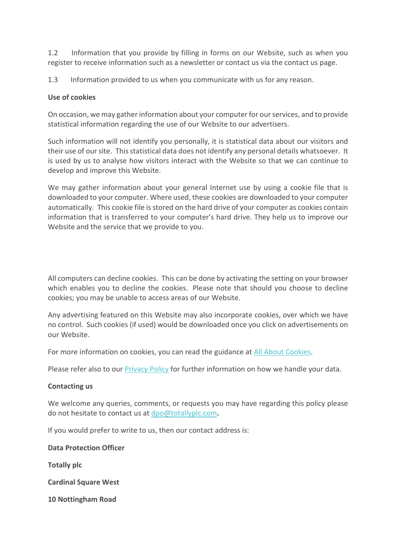1.2 Information that you provide by filling in forms on our Website, such as when you register to receive information such as a newsletter or contact us via the contact us page.

1.3 Information provided to us when you communicate with us for any reason.

### **Use of cookies**

On occasion, we may gather information about your computer for our services, and to provide statistical information regarding the use of our Website to our advertisers.

Such information will not identify you personally, it is statistical data about our visitors and their use of our site. This statistical data does not identify any personal details whatsoever. It is used by us to analyse how visitors interact with the Website so that we can continue to develop and improve this Website.

We may gather information about your general Internet use by using a cookie file that is downloaded to your computer. Where used, these cookies are downloaded to your computer automatically. This cookie file is stored on the hard drive of your computer as cookies contain information that is transferred to your computer's hard drive. They help us to improve our Website and the service that we provide to you.

All computers can decline cookies. This can be done by activating the setting on your browser which enables you to decline the cookies. Please note that should you choose to decline cookies; you may be unable to access areas of our Website.

Any advertising featured on this Website may also incorporate cookies, over which we have no control. Such cookies (if used) would be downloaded once you click on advertisements on our Website.

For more information on cookies, you can read the guidance at [All About Cookies.](http://www.allaboutcookies.org/)

Please refer also to our [Privacy Policy](https://www.totallyplc.com/about-us/data-protection-privacy-policy/#privacy-policy) for further information on how we handle your data.

### **Contacting us**

We welcome any queries, comments, or requests you may have regarding this policy please do not hesitate to contact us at [dpo@totallyplc.com](mailto:dpo@totallyplc.com)**.**

If you would prefer to write to us, then our contact address is:

**Data Protection Officer**

**Totally plc**

**Cardinal Square West**

**10 Nottingham Road**